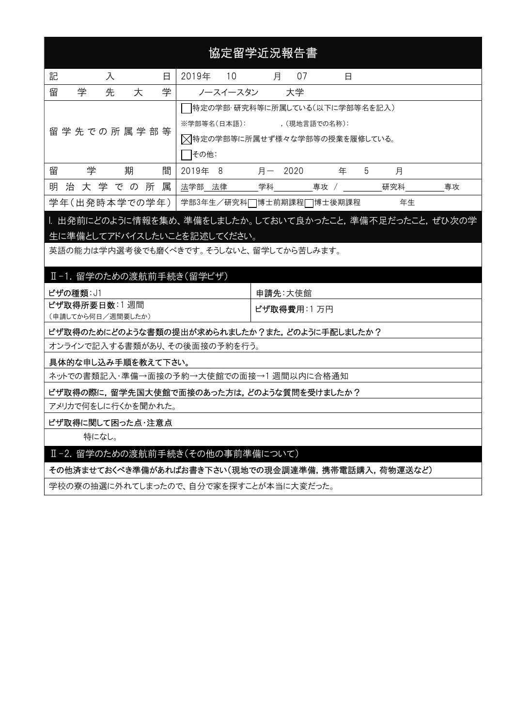|   | 協定留学近況報告書                                                                            |   |   |   |   |         |          |                                                                               |   |               |      |   |   |     |    |    |  |
|---|--------------------------------------------------------------------------------------|---|---|---|---|---------|----------|-------------------------------------------------------------------------------|---|---------------|------|---|---|-----|----|----|--|
| 記 |                                                                                      | 入 |   |   | 日 | 2019年   | 10       |                                                                               | 月 | 07            |      | 日 |   |     |    |    |  |
| 留 | 学                                                                                    | 先 | 大 |   | 学 |         | ノースイースタン |                                                                               |   | 大学            |      |   |   |     |    |    |  |
|   | 留 学 先 での 所 属 学 部 等                                                                   |   |   |   |   | その他:    |          | 特定の学部・研究科等に所属している(以下に学部等名を記入)<br>※学部等名(日本語):<br>又特定の学部等に所属せず様々な学部等の授業を履修している。 |   | , (現地言語での名称): |      |   |   |     |    |    |  |
| 留 | 学                                                                                    |   | 期 |   | 間 | 2019年 8 |          | 月一                                                                            |   | 2020          |      | 年 | 5 | 月   |    |    |  |
| 明 | 治 大 学 で の                                                                            |   |   | 所 | 属 | 法学部 法律  |          | 学科                                                                            |   |               | 専攻 / |   |   | 研究科 |    | 專攻 |  |
|   | 学年(出発時本学での学年)                                                                        |   |   |   |   |         |          | 学部3年生/研究科□博士前期課程□博士後期課程                                                       |   |               |      |   |   |     | 年生 |    |  |
|   | . 出発前にどのように情報を集め、準備をしましたか。しておいて良かったこと,準備不足だったこと,ぜひ次の学<br>生に準備としてアドバイスしたいことを記述してください。 |   |   |   |   |         |          |                                                                               |   |               |      |   |   |     |    |    |  |

英語の能力は学内選考後でも磨くべきです。そうしないと、留学してから苦しみます。

|  |  | . 留学のための渡航前手続き(留学ビザ) |
|--|--|----------------------|
|--|--|----------------------|

| │ ビザの種類: J1       | 申請先∶大使館             |
|-------------------|---------------------|
| ビザ取得所要日数:1 週間     | <b>ビザ取得費用</b> :1 万円 |
| (申請してから何日/週間要したか) |                     |

ビザ取得のためにどのような書類の提出が求められましたか?また,どのように手配しましたか?

オンラインで記入する書類があり、その後面接の予約を行う。

### 具体的な申し込み手順を教えて下さい。

ネットでの書類記入・準備→面接の予約→大使館での面接→1 週間以内に合格通知

ビザ取得の際に,留学先国大使館で面接のあった方は,どのような質問を受けましたか?

アメリカで何をしに行くかを聞かれた。

### ビザ取得に関して困った点・注意点

特になし。

### Ⅱ-2. 留学のための渡航前手続き(その他の事前準備について)

その他済ませておくべき準備があればお書き下さい(現地での現金調達準備,携帯電話購入,荷物運送など)

学校の寮の抽選に外れてしまったので、自分で家を探すことが本当に大変だった。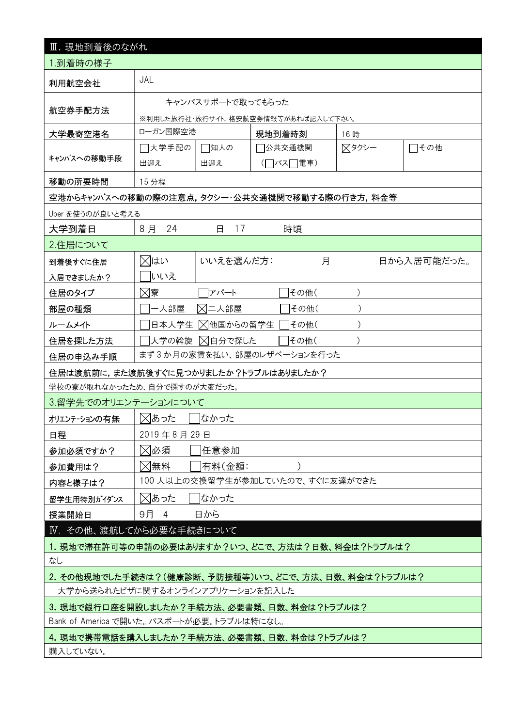| Ⅲ. 現地到着後のながれ                                           |                                                                                         |          |       |             |  |  |  |  |
|--------------------------------------------------------|-----------------------------------------------------------------------------------------|----------|-------|-------------|--|--|--|--|
| 1.到着時の様子                                               |                                                                                         |          |       |             |  |  |  |  |
| 利用航空会社                                                 | JAL                                                                                     |          |       |             |  |  |  |  |
|                                                        | キャンパスサポートで取ってもらった                                                                       |          |       |             |  |  |  |  |
| 航空券手配方法                                                | ※利用した旅行社・旅行サイト,格安航空券情報等があれば記入して下さい。                                                     |          |       |             |  |  |  |  |
| 大学最寄空港名                                                | ローガン国際空港                                                                                | 現地到着時刻   | 16時   |             |  |  |  |  |
|                                                        | コ大学手配の<br>□知人の                                                                          | 7公共交通機関  | ⊠タクシー | その他         |  |  |  |  |
| キャンパスへの移動手段                                            | 出迎え<br>出迎え                                                                              | (□バス□電車) |       |             |  |  |  |  |
| 移動の所要時間                                                | 15 分程                                                                                   |          |       |             |  |  |  |  |
|                                                        | 空港からキャンパスへの移動の際の注意点,タクシー・公共交通機関で移動する際の行き方,料金等                                           |          |       |             |  |  |  |  |
| Uber を使うのが良いと考える                                       |                                                                                         |          |       |             |  |  |  |  |
| 大学到着日                                                  | 8月<br>24<br>17<br>Β                                                                     | 時頃       |       |             |  |  |  |  |
| 2.住居について                                               |                                                                                         |          |       |             |  |  |  |  |
| 到着後すぐに住居                                               | ⊠はい<br>いいえを選んだ方:                                                                        | 月        |       | 日から入居可能だった。 |  |  |  |  |
| 入居できましたか?                                              | いいえ                                                                                     |          |       |             |  |  |  |  |
| 住居のタイプ                                                 | ⊠寮<br>アパート                                                                              | その他(     |       |             |  |  |  |  |
| 部屋の種類                                                  | 一人部屋<br>⊠二人部屋                                                                           | その他(     |       |             |  |  |  |  |
| ルームメイト                                                 | ⊠他国からの留学生<br>日本人学生                                                                      | その他(     |       |             |  |  |  |  |
| 住居を探した方法                                               | ⊠自分で探した<br> 大学の斡旋                                                                       | その他(     |       |             |  |  |  |  |
| 住居の申込み手順                                               | まず3か月の家賃を払い、部屋のレザベーションを行った                                                              |          |       |             |  |  |  |  |
|                                                        | 住居は渡航前に,また渡航後すぐに見つかりましたか?トラブルはありましたか?                                                   |          |       |             |  |  |  |  |
|                                                        | 学校の寮が取れなかったため、自分で探すのが大変だった。                                                             |          |       |             |  |  |  |  |
| 3.留学先でのオリエンテーションについて                                   |                                                                                         |          |       |             |  |  |  |  |
| オリエンテーションの有無                                           | ⊠あった<br>なかった                                                                            |          |       |             |  |  |  |  |
| 日程                                                     | 2019年8月29日                                                                              |          |       |             |  |  |  |  |
| 参加必須ですか?                                               | ⊠必須<br>任意参加                                                                             |          |       |             |  |  |  |  |
| 参加費用は?                                                 | ⊠無料<br>有料(金額:                                                                           |          |       |             |  |  |  |  |
| 内容と様子は?                                                | 100 人以上の交換留学生が参加していたので、すぐに友達ができた                                                        |          |       |             |  |  |  |  |
| 留学生用特別がイダンス                                            | ⊠あった<br> なかった                                                                           |          |       |             |  |  |  |  |
| 授業開始日                                                  | 9月<br>日から<br>$\overline{4}$                                                             |          |       |             |  |  |  |  |
|                                                        | Ⅳ. その他、渡航してから必要な手続きについて                                                                 |          |       |             |  |  |  |  |
|                                                        | 1.現地で滞在許可等の申請の必要はありますか?いつ、どこで、方法は?日数、料金は?トラブルは?                                         |          |       |             |  |  |  |  |
| なし                                                     |                                                                                         |          |       |             |  |  |  |  |
|                                                        | 2. その他現地でした手続きは?(健康診断、予防接種等)いつ、どこで、方法、日数、料金は?トラブルは?<br>大学から送られたビザに関するオンラインアプリケーションを記入した |          |       |             |  |  |  |  |
|                                                        | 3. 現地で銀行口座を開設しましたか?手続方法、必要書類、日数、料金は?トラブルは?                                              |          |       |             |  |  |  |  |
|                                                        | Bank of America で開いた。 パスポートが必要。トラブルは特になし。                                               |          |       |             |  |  |  |  |
|                                                        |                                                                                         |          |       |             |  |  |  |  |
| 4. 現地で携帯電話を購入しましたか?手続方法、必要書類、日数、料金は?トラブルは?<br>購入していない。 |                                                                                         |          |       |             |  |  |  |  |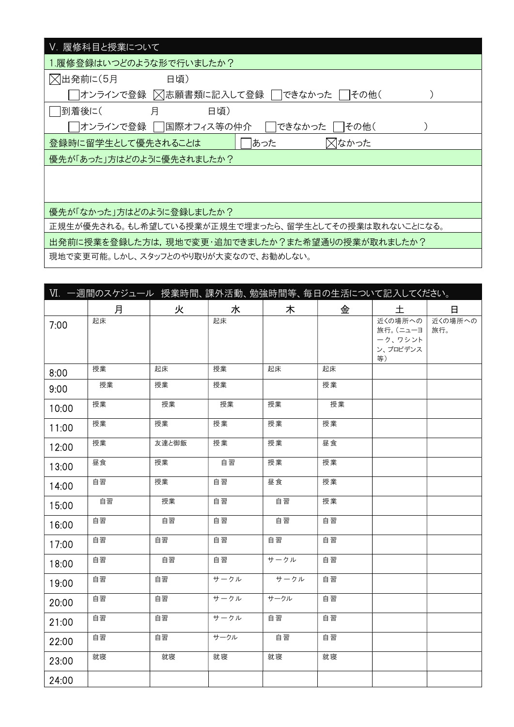| V. 履修科目と授業について                                       |
|------------------------------------------------------|
| 1.履修登録はいつどのような形で行いましたか?                              |
| ○出発前に(5月<br>日頃)                                      |
| オンラインで登録  × 志願書類に記入して登録<br>できなかった<br>  その他(          |
| 到着後に(<br>月<br>日頃)                                    |
| オンラインで登録    国際オフィス等の仲介<br>できなかった<br> その他(            |
| ╳はかった<br>あった<br>登録時に留学生として優先されることは                   |
| 優先が「あった」方はどのように優先されましたか?                             |
|                                                      |
|                                                      |
| 優先が「なかった」方はどのように登録しましたか?                             |
|                                                      |
| 正規生が優先される。もし希望している授業が正規生で埋まったら、留学生としてその授業は取れないことになる。 |
| 出発前に授業を登録した方は,現地で変更・追加できましたか?また希望通りの授業が取れましたか?       |
| 頂地云赤玉古坐 エム ラゟ…っしゃよいありじも赤ちゃっ おもはしむい                   |

現地で変更可能。しかし、スタッフとのやり取りが大変なので、お勧めしない。

|       | VI. 一週間のスケジュール 授業時間、課外活動、勉強時間等、毎日の生活について記入してください。 |       |      |      |    |                                                        |         |
|-------|---------------------------------------------------|-------|------|------|----|--------------------------------------------------------|---------|
|       | 月                                                 | 火     | 水    | 木    | 金  | 土                                                      | 日       |
| 7:00  | 起床                                                |       | 起床   |      |    | 近くの場所への<br>旅行。(ニューヨ   旅行。<br>ーク、ワシント<br>ン、プロビデンス<br>等) | 近くの場所への |
| 8:00  | 授業                                                | 起床    | 授業   | 起床   | 起床 |                                                        |         |
| 9:00  | 授業                                                | 授業    | 授業   |      | 授業 |                                                        |         |
| 10:00 | 授業                                                | 授業    | 授業   | 授業   | 授業 |                                                        |         |
| 11:00 | 授業                                                | 授業    | 授業   | 授業   | 授業 |                                                        |         |
| 12:00 | 授業                                                | 友達と御飯 | 授業   | 授業   | 昼食 |                                                        |         |
| 13:00 | 昼食                                                | 授業    | 自習   | 授業   | 授業 |                                                        |         |
| 14:00 | 自習                                                | 授業    | 自習   | 昼食   | 授業 |                                                        |         |
| 15:00 | 自習                                                | 授業    | 自習   | 自習   | 授業 |                                                        |         |
| 16:00 | 自習                                                | 自習    | 自習   | 自習   | 自習 |                                                        |         |
| 17:00 | 自習                                                | 自習    | 自習   | 自習   | 自習 |                                                        |         |
| 18:00 | 自習                                                | 自習    | 自習   | サークル | 自習 |                                                        |         |
| 19:00 | 自習                                                | 自習    | サークル | サークル | 自習 |                                                        |         |
| 20:00 | 自習                                                | 自習    | サークル | サークル | 自習 |                                                        |         |
| 21:00 | 自習                                                | 自習    | サークル | 自習   | 自習 |                                                        |         |
| 22:00 | 自習                                                | 自習    | サークル | 自習   | 自習 |                                                        |         |
| 23:00 | 就寝                                                | 就寝    | 就寝   | 就寝   | 就寝 |                                                        |         |
| 24:00 |                                                   |       |      |      |    |                                                        |         |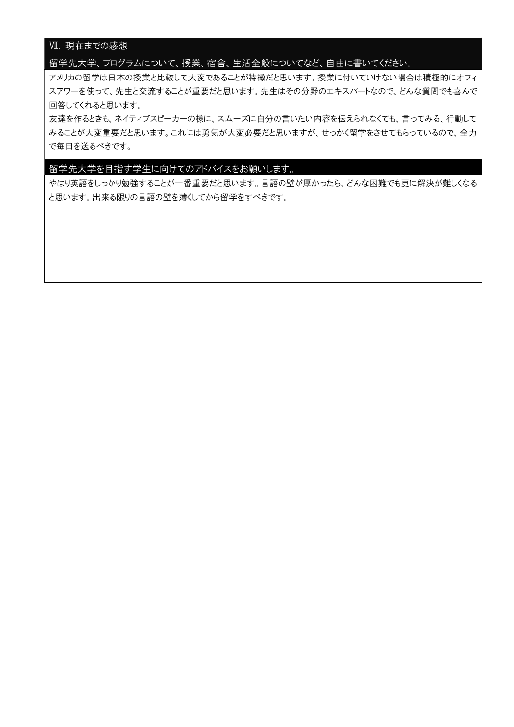## Ⅶ. 現在までの感想

### 留学先大学、プログラムについて、授業、宿舎、生活全般についてなど、自由に書いてください。

アメリカの留学は日本の授業と比較して大変であることが特徴だと思います。授業に付いていけない場合は積極的にオフィ スアワーを使って、先生と交流することが重要だと思います。先生はその分野のエキスパートなので、どんな質問でも喜んで 回答してくれると思います。

友達を作るときも、ネイティブスピーカーの様に、スムーズに自分の言いたい内容を伝えられなくても、言ってみる、行動して みることが大変重要だと思います。これには勇気が大変必要だと思いますが、せっかく留学をさせてもらっているので、全力 で毎日を送るべきです。

### 留学先大学を目指す学生に向けてのアドバイスをお願いします。

やはり英語をしっかり勉強することが一番重要だと思います。言語の壁が厚かったら、どんな困難でも更に解決が難しくなる と思います。出来る限りの言語の壁を薄くしてから留学をすべきです。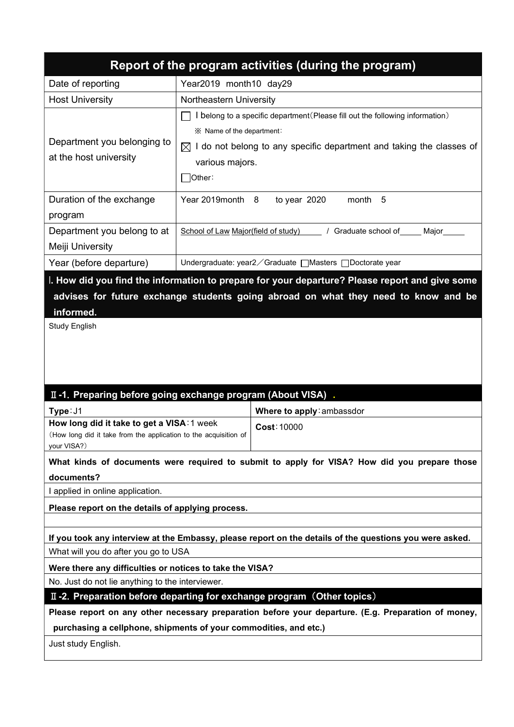| Report of the program activities (during the program)                                          |                                                                                                                                                                                                                                  |  |  |  |  |  |
|------------------------------------------------------------------------------------------------|----------------------------------------------------------------------------------------------------------------------------------------------------------------------------------------------------------------------------------|--|--|--|--|--|
| Date of reporting                                                                              | Year2019 month10 day29                                                                                                                                                                                                           |  |  |  |  |  |
| <b>Host University</b>                                                                         | Northeastern University                                                                                                                                                                                                          |  |  |  |  |  |
| Department you belonging to<br>at the host university                                          | belong to a specific department (Please fill out the following information)<br>im XX Name of the department :<br>I do not belong to any specific department and taking the classes of<br>$\bowtie$<br>various majors.<br> Other: |  |  |  |  |  |
| Duration of the exchange<br>program                                                            | Year 2019 month 8<br>to year 2020<br>month 5                                                                                                                                                                                     |  |  |  |  |  |
| Department you belong to at<br>Meiji University                                                | / Graduate school of _____ Major_____<br>School of Law Major(field of study)                                                                                                                                                     |  |  |  |  |  |
| Year (before departure)                                                                        | Undergraduate: year2 ∕ Graduate   Masters   Doctorate year                                                                                                                                                                       |  |  |  |  |  |
| I. How did you find the information to prepare for your departure? Please report and give some |                                                                                                                                                                                                                                  |  |  |  |  |  |

# advises for future exchange students going abroad on what they need to know and be informed.

Study English

# Ⅱ-1.Preparing before going exchange program (About VISA) .

| Type: J1                                                         | Where to apply: ambassdor |
|------------------------------------------------------------------|---------------------------|
| How long did it take to get a VISA: 1 week                       | Cost: 10000               |
| (How long did it take from the application to the acquisition of |                           |
| your VISA?)                                                      |                           |

What kinds of documents were required to submit to apply for VISA? How did you prepare those documents?

I applied in online application.

Please report on the details of applying process.

If you took any interview at the Embassy, please report on the details of the questions you were asked. What will you do after you go to USA

Were there any difficulties or notices to take the VISA?

No. Just do not lie anything to the interviewer.

II-2. Preparation before departing for exchange program (Other topics)

Please report on any other necessary preparation before your departure. (E.g. Preparation of money,

purchasing a cellphone, shipments of your commodities, and etc.)

Just study English.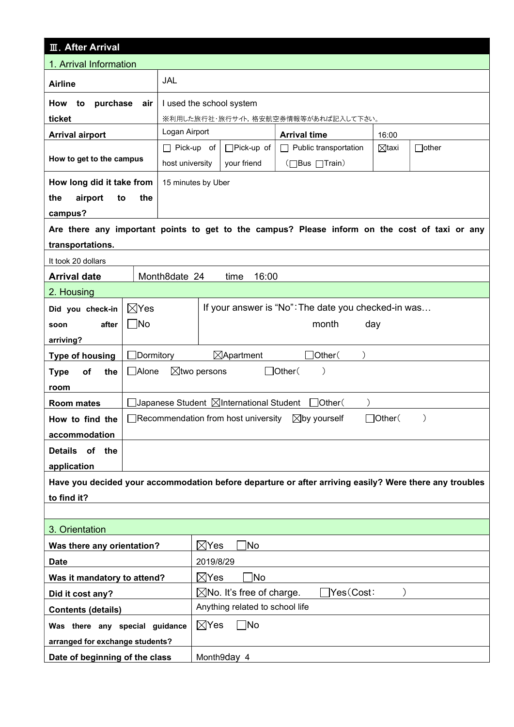| <b>III. After Arrival</b>                                                                              |                   |                                                     |                                     |              |  |  |  |
|--------------------------------------------------------------------------------------------------------|-------------------|-----------------------------------------------------|-------------------------------------|--------------|--|--|--|
| 1. Arrival Information                                                                                 |                   |                                                     |                                     |              |  |  |  |
| <b>Airline</b>                                                                                         | JAL               |                                                     |                                     |              |  |  |  |
| to<br>purchase<br>How<br>air                                                                           |                   | I used the school system                            |                                     |              |  |  |  |
| ticket                                                                                                 |                   |                                                     | ※利用した旅行社・旅行サイト,格安航空券情報等があれば記入して下さい。 |              |  |  |  |
| <b>Arrival airport</b>                                                                                 | Logan Airport     |                                                     | <b>Arrival time</b>                 | 16:00        |  |  |  |
|                                                                                                        | $\Box$ Pick-up of | $\Box$ Pick-up of                                   | $\boxtimes$ taxi                    | $\Box$ other |  |  |  |
| How to get to the campus                                                                               | host university   | your friend                                         | (□Bus □Train)                       |              |  |  |  |
| How long did it take from                                                                              |                   | 15 minutes by Uber                                  |                                     |              |  |  |  |
| airport<br>the<br>the<br>to                                                                            |                   |                                                     |                                     |              |  |  |  |
| campus?                                                                                                |                   |                                                     |                                     |              |  |  |  |
| Are there any important points to get to the campus? Please inform on the cost of taxi or any          |                   |                                                     |                                     |              |  |  |  |
| transportations.                                                                                       |                   |                                                     |                                     |              |  |  |  |
| It took 20 dollars                                                                                     |                   |                                                     |                                     |              |  |  |  |
| <b>Arrival date</b>                                                                                    | Month8date 24     | 16:00<br>time                                       |                                     |              |  |  |  |
| 2. Housing                                                                                             |                   |                                                     |                                     |              |  |  |  |
| $\boxtimes$ Yes<br>Did you check-in                                                                    |                   | If your answer is "No": The date you checked-in was |                                     |              |  |  |  |
| $\Box$ No<br>after<br>soon                                                                             |                   | month<br>day                                        |                                     |              |  |  |  |
| arriving?                                                                                              |                   |                                                     |                                     |              |  |  |  |
| Dormitory<br><b>Type of housing</b>                                                                    |                   | $\boxtimes$ Apartment<br>Other(                     |                                     |              |  |  |  |
| <b>Alone</b><br>the<br><b>Type</b><br>οf                                                               |                   | $\boxtimes$ two persons                             | $\Box$ Other(                       |              |  |  |  |
| room                                                                                                   |                   |                                                     |                                     |              |  |  |  |
| <b>Room mates</b>                                                                                      |                   | Japanese Student ⊠International Student             | $\Box$ Other $($                    |              |  |  |  |
| How to find the                                                                                        |                   | Recommendation from host university                 | $\boxtimes$ by yourself             | ]Other(      |  |  |  |
| accommodation                                                                                          |                   |                                                     |                                     |              |  |  |  |
| of the<br><b>Details</b>                                                                               |                   |                                                     |                                     |              |  |  |  |
| application                                                                                            |                   |                                                     |                                     |              |  |  |  |
| Have you decided your accommodation before departure or after arriving easily? Were there any troubles |                   |                                                     |                                     |              |  |  |  |
| to find it?                                                                                            |                   |                                                     |                                     |              |  |  |  |
|                                                                                                        |                   |                                                     |                                     |              |  |  |  |
| 3. Orientation                                                                                         |                   |                                                     |                                     |              |  |  |  |
| Was there any orientation?                                                                             |                   | 1No<br>$\boxtimes$ Yes                              |                                     |              |  |  |  |
| <b>Date</b>                                                                                            |                   | 2019/8/29                                           |                                     |              |  |  |  |
| Was it mandatory to attend?                                                                            |                   | 1No<br>$\boxtimes$ Yes                              |                                     |              |  |  |  |
| Did it cost any?                                                                                       |                   | $\boxtimes$ No. It's free of charge.                | Yes(Cost:                           |              |  |  |  |
| <b>Contents (details)</b>                                                                              |                   | Anything related to school life                     |                                     |              |  |  |  |
| Was there any special guidance                                                                         |                   | $\boxtimes$ Yes<br>$\Box$ No                        |                                     |              |  |  |  |
| arranged for exchange students?                                                                        |                   |                                                     |                                     |              |  |  |  |
| Date of beginning of the class                                                                         |                   | Month9day 4                                         |                                     |              |  |  |  |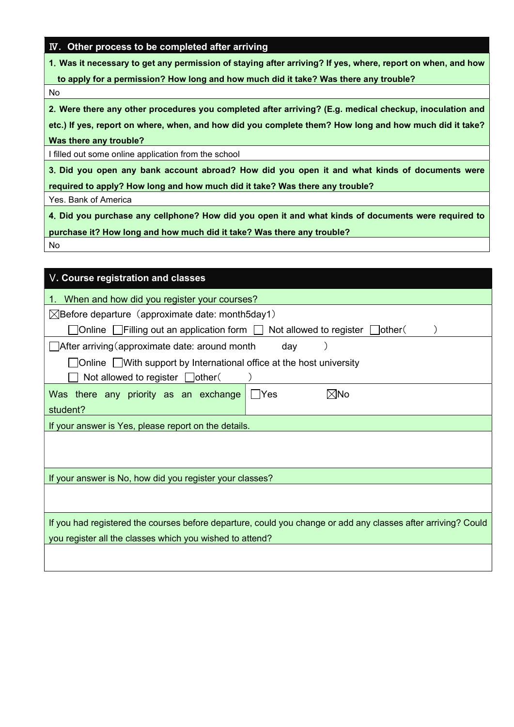### Ⅳ. Other process to be completed after arriving

1.Was it necessary to get any permission of staying after arriving? If yes, where, report on when, and how

to apply for a permission? How long and how much did it take? Was there any trouble?

No

2.Were there any other procedures you completed after arriving? (E.g. medical checkup, inoculation and

etc.) If yes, report on where, when, and how did you complete them? How long and how much did it take? Was there any trouble?

I filled out some online application from the school

3.Did you open any bank account abroad? How did you open it and what kinds of documents were required to apply? How long and how much did it take? Was there any trouble?

Yes. Bank of America

4.Did you purchase any cellphone? How did you open it and what kinds of documents were required to purchase it? How long and how much did it take? Was there any trouble?

No

| V. Course registration and classes                                                                            |  |  |  |  |  |  |  |
|---------------------------------------------------------------------------------------------------------------|--|--|--|--|--|--|--|
| When and how did you register your courses?                                                                   |  |  |  |  |  |  |  |
| $\boxtimes$ Before departure (approximate date: month5day1)                                                   |  |  |  |  |  |  |  |
| ]Online $\Box$ Filling out an application form $\Box$<br>Not allowed to register $\Box$ other (               |  |  |  |  |  |  |  |
| After arriving (approximate date: around month<br>day                                                         |  |  |  |  |  |  |  |
| △ Online △ With support by International office at the host university                                        |  |  |  |  |  |  |  |
| Not allowed to register $\Box$ other(                                                                         |  |  |  |  |  |  |  |
| Was there any priority as an exchange<br>l⊠No<br>- IYes                                                       |  |  |  |  |  |  |  |
| student?                                                                                                      |  |  |  |  |  |  |  |
| If your answer is Yes, please report on the details.                                                          |  |  |  |  |  |  |  |
|                                                                                                               |  |  |  |  |  |  |  |
|                                                                                                               |  |  |  |  |  |  |  |
| If your answer is No, how did you register your classes?                                                      |  |  |  |  |  |  |  |
|                                                                                                               |  |  |  |  |  |  |  |
|                                                                                                               |  |  |  |  |  |  |  |
| If you had registered the courses before departure, could you change or add any classes after arriving? Could |  |  |  |  |  |  |  |
| you register all the classes which you wished to attend?                                                      |  |  |  |  |  |  |  |
|                                                                                                               |  |  |  |  |  |  |  |
|                                                                                                               |  |  |  |  |  |  |  |